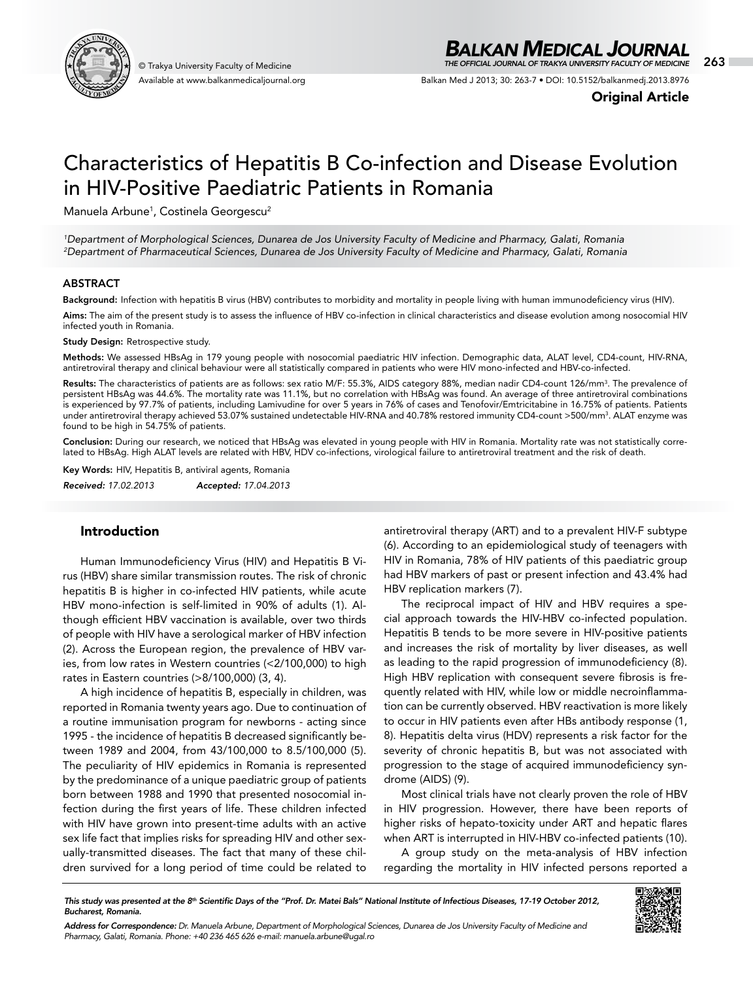

Available at www.balkanmedicaljournal.org

## *BALKAN MEDICAL JOURNAL*

© Trakya University Faculty of Medicine 263 *THE OFFICIAL JOURNAL OF TRAKYA UNIVERSITY FACULTY OF MEDICINE*

Balkan Med J 2013; 30: 263-7 • DOI: 10.5152/balkanmedj.2013.8976

Original Article

# Characteristics of Hepatitis B Co-infection and Disease Evolution in HIV-Positive Paediatric Patients in Romania

Manuela Arbune<sup>1</sup>, Costinela Georgescu<sup>2</sup>

*1 Department of Morphological Sciences, Dunarea de Jos University Faculty of Medicine and Pharmacy, Galati, Romania 2 Department of Pharmaceutical Sciences, Dunarea de Jos University Faculty of Medicine and Pharmacy, Galati, Romania*

#### ABSTRACT

Background: Infection with hepatitis B virus (HBV) contributes to morbidity and mortality in people living with human immunodeficiency virus (HIV).

Aims: The aim of the present study is to assess the influence of HBV co-infection in clinical characteristics and disease evolution among nosocomial HIV infected youth in Romania.

**Study Design: Retrospective study.** 

Methods: We assessed HBsAg in 179 young people with nosocomial paediatric HIV infection. Demographic data, ALAT level, CD4-count, HIV-RNA, antiretroviral therapy and clinical behaviour were all statistically compared in patients who were HIV mono-infected and HBV-co-infected.

Results: The characteristics of patients are as follows: sex ratio M/F: 55.3%, AIDS category 88%, median nadir CD4-count 126/mm<sup>3</sup>. The prevalence of persistent HBsAg was 44.6%. The mortality rate was 11.1%, but no correlation with HBsAg was found. An average of three antiretroviral combinations is experienced by 97.7% of patients, including Lamivudine for over 5 years in 76% of cases and Tenofovir/Emtricitabine in 16.75% of patients. Patients under antiretroviral therapy achieved 53.07% sustained undetectable HIV-RNA and 40.78% restored immunity CD4-count >500/mm3. ALAT enzyme was found to be high in 54.75% of patients.

Conclusion: During our research, we noticed that HBsAg was elevated in young people with HIV in Romania. Mortality rate was not statistically correlated to HBsAg. High ALAT levels are related with HBV, HDV co-infections, virological failure to antiretroviral treatment and the risk of death.

Key Words: HIV, Hepatitis B, antiviral agents, Romania *Received: 17.02.2013 Accepted: 17.04.2013*

#### Introduction

Human Immunodeficiency Virus (HIV) and Hepatitis B Virus (HBV) share similar transmission routes. The risk of chronic hepatitis B is higher in co-infected HIV patients, while acute HBV mono-infection is self-limited in 90% of adults (1). Although efficient HBV vaccination is available, over two thirds of people with HIV have a serological marker of HBV infection (2). Across the European region, the prevalence of HBV varies, from low rates in Western countries (<2/100,000) to high rates in Eastern countries (>8/100,000) (3, 4).

A high incidence of hepatitis B, especially in children, was reported in Romania twenty years ago. Due to continuation of a routine immunisation program for newborns - acting since 1995 - the incidence of hepatitis B decreased significantly between 1989 and 2004, from 43/100,000 to 8.5/100,000 (5). The peculiarity of HIV epidemics in Romania is represented by the predominance of a unique paediatric group of patients born between 1988 and 1990 that presented nosocomial infection during the first years of life. These children infected with HIV have grown into present-time adults with an active sex life fact that implies risks for spreading HIV and other sexually-transmitted diseases. The fact that many of these children survived for a long period of time could be related to

antiretroviral therapy (ART) and to a prevalent HIV-F subtype (6). According to an epidemiological study of teenagers with HIV in Romania, 78% of HIV patients of this paediatric group had HBV markers of past or present infection and 43.4% had HBV replication markers (7).

The reciprocal impact of HIV and HBV requires a special approach towards the HIV-HBV co-infected population. Hepatitis B tends to be more severe in HIV-positive patients and increases the risk of mortality by liver diseases, as well as leading to the rapid progression of immunodeficiency (8). High HBV replication with consequent severe fibrosis is frequently related with HIV, while low or middle necroinflammation can be currently observed. HBV reactivation is more likely to occur in HIV patients even after HBs antibody response (1, 8). Hepatitis delta virus (HDV) represents a risk factor for the severity of chronic hepatitis B, but was not associated with progression to the stage of acquired immunodeficiency syndrome (AIDS) (9).

Most clinical trials have not clearly proven the role of HBV in HIV progression. However, there have been reports of higher risks of hepato-toxicity under ART and hepatic flares when ART is interrupted in HIV-HBV co-infected patients (10).

A group study on the meta-analysis of HBV infection regarding the mortality in HIV infected persons reported a

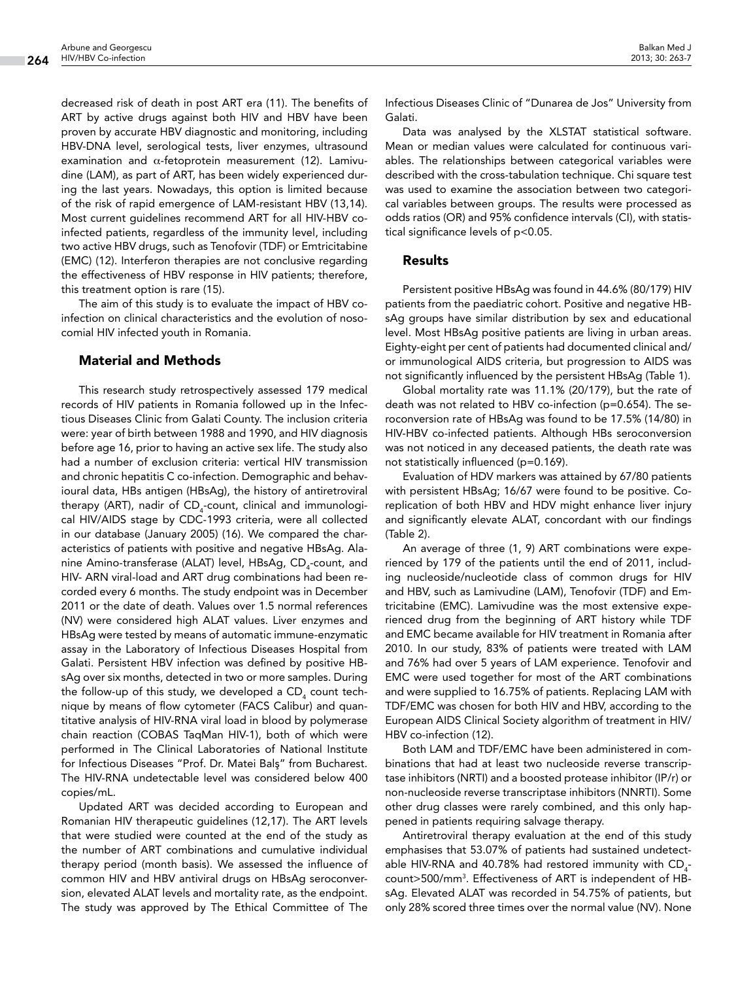decreased risk of death in post ART era (11). The benefits of ART by active drugs against both HIV and HBV have been proven by accurate HBV diagnostic and monitoring, including HBV-DNA level, serological tests, liver enzymes, ultrasound examination and  $\alpha$ -fetoprotein measurement (12). Lamivudine (LAM), as part of ART, has been widely experienced during the last years. Nowadays, this option is limited because of the risk of rapid emergence of LAM-resistant HBV (13,14). Most current guidelines recommend ART for all HIV-HBV coinfected patients, regardless of the immunity level, including two active HBV drugs, such as Tenofovir (TDF) or Emtricitabine (EMC) (12). Interferon therapies are not conclusive regarding the effectiveness of HBV response in HIV patients; therefore, this treatment option is rare (15).

The aim of this study is to evaluate the impact of HBV coinfection on clinical characteristics and the evolution of nosocomial HIV infected youth in Romania.

#### Material and Methods

This research study retrospectively assessed 179 medical records of HIV patients in Romania followed up in the Infectious Diseases Clinic from Galati County. The inclusion criteria were: year of birth between 1988 and 1990, and HIV diagnosis before age 16, prior to having an active sex life. The study also had a number of exclusion criteria: vertical HIV transmission and chronic hepatitis C co-infection. Demographic and behavioural data, HBs antigen (HBsAg), the history of antiretroviral therapy (ART), nadir of CD<sub>4</sub>-count, clinical and immunological HIV/AIDS stage by CDC-1993 criteria, were all collected in our database (January 2005) (16). We compared the characteristics of patients with positive and negative HBsAg. Alanine Amino-transferase (ALAT) level, HBsAg, CD<sub>4</sub>-count, and HIV- ARN viral-load and ART drug combinations had been recorded every 6 months. The study endpoint was in December 2011 or the date of death. Values over 1.5 normal references (NV) were considered high ALAT values. Liver enzymes and HBsAg were tested by means of automatic immune-enzymatic assay in the Laboratory of Infectious Diseases Hospital from Galati. Persistent HBV infection was defined by positive HBsAg over six months, detected in two or more samples. During the follow-up of this study, we developed a CD<sub>4</sub> count technique by means of flow cytometer (FACS Calibur) and quantitative analysis of HIV-RNA viral load in blood by polymerase chain reaction (COBAS TaqMan HIV-1), both of which were performed in The Clinical Laboratories of National Institute for Infectious Diseases "Prof. Dr. Matei Balş" from Bucharest. The HIV-RNA undetectable level was considered below 400 copies/mL.

Updated ART was decided according to European and Romanian HIV therapeutic guidelines (12,17). The ART levels that were studied were counted at the end of the study as the number of ART combinations and cumulative individual therapy period (month basis). We assessed the influence of common HIV and HBV antiviral drugs on HBsAg seroconversion, elevated ALAT levels and mortality rate, as the endpoint. The study was approved by The Ethical Committee of The

Infectious Diseases Clinic of "Dunarea de Jos" University from Galati.

Data was analysed by the XLSTAT statistical software. Mean or median values were calculated for continuous variables. The relationships between categorical variables were described with the cross-tabulation technique. Chi square test was used to examine the association between two categorical variables between groups. The results were processed as odds ratios (OR) and 95% confidence intervals (CI), with statistical significance levels of p<0.05.

#### Results

Persistent positive HBsAg was found in 44.6% (80/179) HIV patients from the paediatric cohort. Positive and negative HBsAg groups have similar distribution by sex and educational level. Most HBsAg positive patients are living in urban areas. Eighty-eight per cent of patients had documented clinical and/ or immunological AIDS criteria, but progression to AIDS was not significantly influenced by the persistent HBsAg (Table 1).

Global mortality rate was 11.1% (20/179), but the rate of death was not related to HBV co-infection (p=0.654). The seroconversion rate of HBsAg was found to be 17.5% (14/80) in HIV-HBV co-infected patients. Although HBs seroconversion was not noticed in any deceased patients, the death rate was not statistically influenced (p=0.169).

Evaluation of HDV markers was attained by 67/80 patients with persistent HBsAg; 16/67 were found to be positive. Coreplication of both HBV and HDV might enhance liver injury and significantly elevate ALAT, concordant with our findings (Table 2).

An average of three (1, 9) ART combinations were experienced by 179 of the patients until the end of 2011, including nucleoside/nucleotide class of common drugs for HIV and HBV, such as Lamivudine (LAM), Tenofovir (TDF) and Emtricitabine (EMC). Lamivudine was the most extensive experienced drug from the beginning of ART history while TDF and EMC became available for HIV treatment in Romania after 2010. In our study, 83% of patients were treated with LAM and 76% had over 5 years of LAM experience. Tenofovir and EMC were used together for most of the ART combinations and were supplied to 16.75% of patients. Replacing LAM with TDF/EMC was chosen for both HIV and HBV, according to the European AIDS Clinical Society algorithm of treatment in HIV/ HBV co-infection (12).

Both LAM and TDF/EMC have been administered in combinations that had at least two nucleoside reverse transcriptase inhibitors (NRTI) and a boosted protease inhibitor (IP/r) or non-nucleoside reverse transcriptase inhibitors (NNRTI). Some other drug classes were rarely combined, and this only happened in patients requiring salvage therapy.

Antiretroviral therapy evaluation at the end of this study emphasises that 53.07% of patients had sustained undetectable HIV-RNA and 40.78% had restored immunity with  $\mathsf{CD}_{\scriptscriptstyle{4}}$ count>500/mm3 . Effectiveness of ART is independent of HBsAg. Elevated ALAT was recorded in 54.75% of patients, but only 28% scored three times over the normal value (NV). None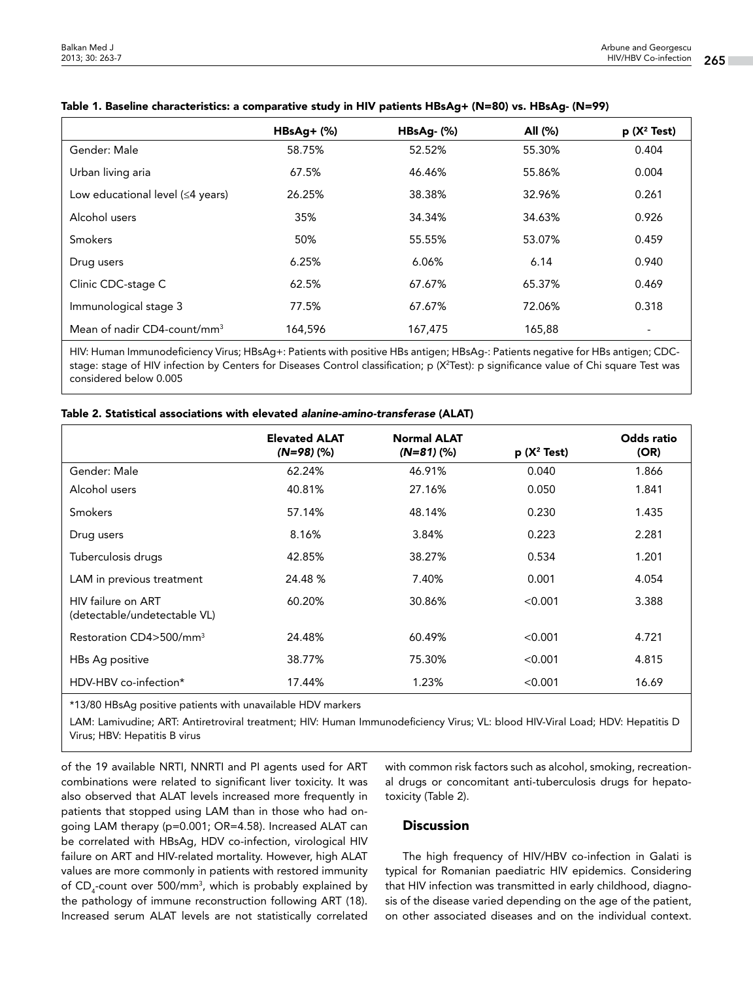|                                         | $HBsAg+$ (%) | $HBSAg-(%)$ | All (%) | $p(X^2 Test)$            |
|-----------------------------------------|--------------|-------------|---------|--------------------------|
| Gender: Male                            | 58.75%       | 52.52%      | 55.30%  | 0.404                    |
| Urban living aria                       | 67.5%        | 46.46%      | 55.86%  | 0.004                    |
| Low educational level $(\leq 4$ years)  | 26.25%       | 38.38%      | 32.96%  | 0.261                    |
| Alcohol users                           | 35%          | 34.34%      | 34.63%  | 0.926                    |
| Smokers                                 | 50%          | 55.55%      | 53.07%  | 0.459                    |
| Drug users                              | 6.25%        | 6.06%       | 6.14    | 0.940                    |
| Clinic CDC-stage C                      | 62.5%        | 67.67%      | 65.37%  | 0.469                    |
| Immunological stage 3                   | 77.5%        | 67.67%      | 72.06%  | 0.318                    |
| Mean of nadir CD4-count/mm <sup>3</sup> | 164,596      | 167,475     | 165,88  | $\overline{\phantom{a}}$ |

#### Table 1. Baseline characteristics: a comparative study in HIV patients HBsAg+ (N=80) vs. HBsAg- (N=99)

HIV: Human Immunodeficiency Virus; HBsAg+: Patients with positive HBs antigen; HBsAg-: Patients negative for HBs antigen; CDCstage: stage of HIV infection by Centers for Diseases Control classification; p (X<sup>2</sup>Test): p significance value of Chi square Test was considered below 0.005

|  |  |  |  | Table 2. Statistical associations with elevated alanine-amino-transferase (ALAT) |
|--|--|--|--|----------------------------------------------------------------------------------|
|--|--|--|--|----------------------------------------------------------------------------------|

|                                                    | <b>Elevated ALAT</b><br>$(N=98)(%)$ | <b>Normal ALAT</b><br>$(N=81)(%$ | $p(X^2 Test)$ | Odds ratio<br>(OR) |
|----------------------------------------------------|-------------------------------------|----------------------------------|---------------|--------------------|
| Gender: Male                                       | 62.24%                              | 46.91%                           | 0.040         | 1.866              |
| Alcohol users                                      | 40.81%                              | 27.16%                           | 0.050         | 1.841              |
| <b>Smokers</b>                                     | 57.14%                              | 48.14%                           | 0.230         | 1.435              |
| Drug users                                         | 8.16%                               | 3.84%                            | 0.223         | 2.281              |
| Tuberculosis drugs                                 | 42.85%                              | 38.27%                           | 0.534         | 1.201              |
| LAM in previous treatment                          | 24.48 %                             | 7.40%                            | 0.001         | 4.054              |
| HIV failure on ART<br>(detectable/undetectable VL) | 60.20%                              | 30.86%                           | < 0.001       | 3.388              |
| Restoration CD4>500/mm <sup>3</sup>                | 24.48%                              | 60.49%                           | < 0.001       | 4.721              |
| HBs Ag positive                                    | 38.77%                              | 75.30%                           | < 0.001       | 4.815              |
| HDV-HBV co-infection*                              | 17.44%                              | 1.23%                            | < 0.001       | 16.69              |

\*13/80 HBsAg positive patients with unavailable HDV markers

LAM: Lamivudine; ART: Antiretroviral treatment; HIV: Human Immunodeficiency Virus; VL: blood HIV-Viral Load; HDV: Hepatitis D Virus; HBV: Hepatitis B virus

of the 19 available NRTI, NNRTI and PI agents used for ART combinations were related to significant liver toxicity. It was also observed that ALAT levels increased more frequently in patients that stopped using LAM than in those who had ongoing LAM therapy (p=0.001; OR=4.58). Increased ALAT can be correlated with HBsAg, HDV co-infection, virological HIV failure on ART and HIV-related mortality. However, high ALAT values are more commonly in patients with restored immunity of CD<sub>4</sub>-count over 500/mm<sup>3</sup>, which is probably explained by the pathology of immune reconstruction following ART (18). Increased serum ALAT levels are not statistically correlated

with common risk factors such as alcohol, smoking, recreational drugs or concomitant anti-tuberculosis drugs for hepatotoxicity (Table 2).

### Discussion

The high frequency of HIV/HBV co-infection in Galati is typical for Romanian paediatric HIV epidemics. Considering that HIV infection was transmitted in early childhood, diagnosis of the disease varied depending on the age of the patient, on other associated diseases and on the individual context.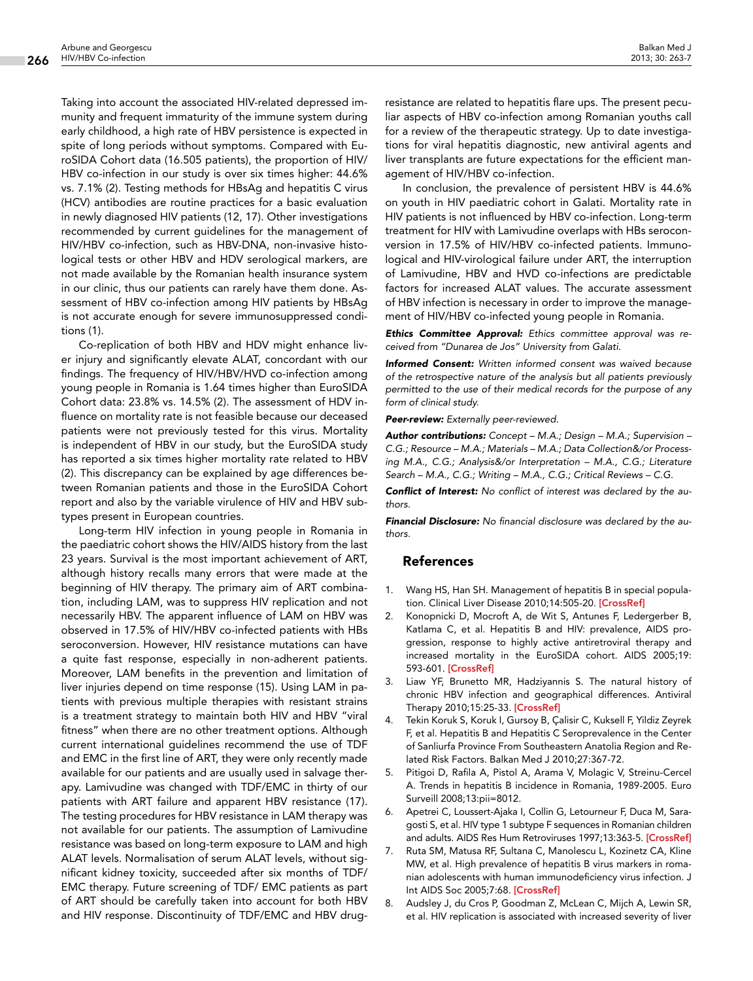Taking into account the associated HIV-related depressed immunity and frequent immaturity of the immune system during early childhood, a high rate of HBV persistence is expected in spite of long periods without symptoms. Compared with EuroSIDA Cohort data (16.505 patients), the proportion of HIV/ HBV co-infection in our study is over six times higher: 44.6% vs. 7.1% (2). Testing methods for HBsAg and hepatitis C virus (HCV) antibodies are routine practices for a basic evaluation in newly diagnosed HIV patients (12, 17). Other investigations recommended by current guidelines for the management of HIV/HBV co-infection, such as HBV-DNA, non-invasive histological tests or other HBV and HDV serological markers, are not made available by the Romanian health insurance system in our clinic, thus our patients can rarely have them done. Assessment of HBV co-infection among HIV patients by HBsAg is not accurate enough for severe immunosuppressed conditions (1).

Co-replication of both HBV and HDV might enhance liver injury and significantly elevate ALAT, concordant with our findings. The frequency of HIV/HBV/HVD co-infection among young people in Romania is 1.64 times higher than EuroSIDA Cohort data: 23.8% vs. 14.5% (2). The assessment of HDV influence on mortality rate is not feasible because our deceased patients were not previously tested for this virus. Mortality is independent of HBV in our study, but the EuroSIDA study has reported a six times higher mortality rate related to HBV (2). This discrepancy can be explained by age differences between Romanian patients and those in the EuroSIDA Cohort report and also by the variable virulence of HIV and HBV subtypes present in European countries.

Long-term HIV infection in young people in Romania in the paediatric cohort shows the HIV/AIDS history from the last 23 years. Survival is the most important achievement of ART, although history recalls many errors that were made at the beginning of HIV therapy. The primary aim of ART combination, including LAM, was to suppress HIV replication and not necessarily HBV. The apparent influence of LAM on HBV was observed in 17.5% of HIV/HBV co-infected patients with HBs seroconversion. However, HIV resistance mutations can have a quite fast response, especially in non-adherent patients. Moreover, LAM benefits in the prevention and limitation of liver injuries depend on time response (15). Using LAM in patients with previous multiple therapies with resistant strains is a treatment strategy to maintain both HIV and HBV "viral fitness" when there are no other treatment options. Although current international guidelines recommend the use of TDF and EMC in the first line of ART, they were only recently made available for our patients and are usually used in salvage therapy. Lamivudine was changed with TDF/EMC in thirty of our patients with ART failure and apparent HBV resistance (17). The testing procedures for HBV resistance in LAM therapy was not available for our patients. The assumption of Lamivudine resistance was based on long-term exposure to LAM and high ALAT levels. Normalisation of serum ALAT levels, without significant kidney toxicity, succeeded after six months of TDF/ EMC therapy. Future screening of TDF/ EMC patients as part of ART should be carefully taken into account for both HBV and HIV response. Discontinuity of TDF/EMC and HBV drug-

resistance are related to hepatitis flare ups. The present peculiar aspects of HBV co-infection among Romanian youths call for a review of the therapeutic strategy. Up to date investigations for viral hepatitis diagnostic, new antiviral agents and liver transplants are future expectations for the efficient management of HIV/HBV co-infection.

In conclusion, the prevalence of persistent HBV is 44.6% on youth in HIV paediatric cohort in Galati. Mortality rate in HIV patients is not influenced by HBV co-infection. Long-term treatment for HIV with Lamivudine overlaps with HBs seroconversion in 17.5% of HIV/HBV co-infected patients. Immunological and HIV-virological failure under ART, the interruption of Lamivudine, HBV and HVD co-infections are predictable factors for increased ALAT values. The accurate assessment of HBV infection is necessary in order to improve the management of HIV/HBV co-infected young people in Romania.

*Ethics Committee Approval: Ethics committee approval was received from "Dunarea de Jos" University from Galati.*

*Informed Consent: Written informed consent was waived because of the retrospective nature of the analysis but all patients previously permitted to the use of their medical records for the purpose of any form of clinical study.*

*Peer-review: Externally peer-reviewed.*

*Author contributions: Concept – M.A.; Design – M.A.; Supervision – C.G.; Resource – M.A.; Materials – M.A.; Data Collection&/or Processing M.A., C.G.; Analysis&/or Interpretation – M.A., C.G.; Literature Search – M.A., C.G.; Writing – M.A., C.G.; Critical Reviews – C.G.*

*Conflict of Interest: No conflict of interest was declared by the authors.* 

*Financial Disclosure: No financial disclosure was declared by the authors.*

#### References

- 1. Wang HS, Han SH. Management of hepatitis B in special popula-tion. Clinical Liver Disease 2010;14:505-20. [\[CrossRef\]](http://dx.doi.org/10.1016/j.cld.2010.05.002)
- 2. Konopnicki D, Mocroft A, de Wit S, Antunes F, Ledergerber B, Katlama C, et al. Hepatitis B and HIV: prevalence, AIDS progression, response to highly active antiretroviral therapy and increased mortality in the EuroSIDA cohort. AIDS 2005;19: 593-601. [[CrossRef\]](http://dx.doi.org/10.1097/01.aids.0000163936.99401.fe)
- 3. Liaw YF, Brunetto MR, Hadziyannis S. The natural history of chronic HBV infection and geographical differences. Antiviral Therapy 2010;15:25-33. [[CrossRef](http://dx.doi.org/10.3851/IMP1621)]
- 4. Tekin Koruk S, Koruk I, Gursoy B, Çalisir C, Kuksell F, Yildiz Zeyrek F, et al. Hepatitis B and Hepatitis C Seroprevalence in the Center of Sanliurfa Province From Southeastern Anatolia Region and Related Risk Factors. Balkan Med J 2010;27:367-72.
- 5. Pitigoi D, Rafila A, Pistol A, Arama V, Molagic V, Streinu-Cercel A. Trends in hepatitis B incidence in Romania, 1989-2005. Euro Surveill 2008;13:pii=8012.
- 6. Apetrei C, Loussert-Ajaka I, Collin G, Letourneur F, Duca M, Saragosti S, et al. HIV type 1 subtype F sequences in Romanian children and adults. AIDS Res Hum Retroviruses 1997;13:363-5. [\[CrossRef](http://dx.doi.org/10.1089/aid.1997.13.363)]
- 7. Ruta SM, Matusa RF, Sultana C, Manolescu L, Kozinetz CA, Kline MW, et al. High prevalence of hepatitis B virus markers in romanian adolescents with human immunodeficiency virus infection. J Int AIDS Soc 2005;7:68. [\[CrossRef](http://dx.doi.org/10.1186/1758-2652-7-1-68)]
- 8. Audsley J, du Cros P, Goodman Z, McLean C, Mijch A, Lewin SR, et al. HIV replication is associated with increased severity of liver